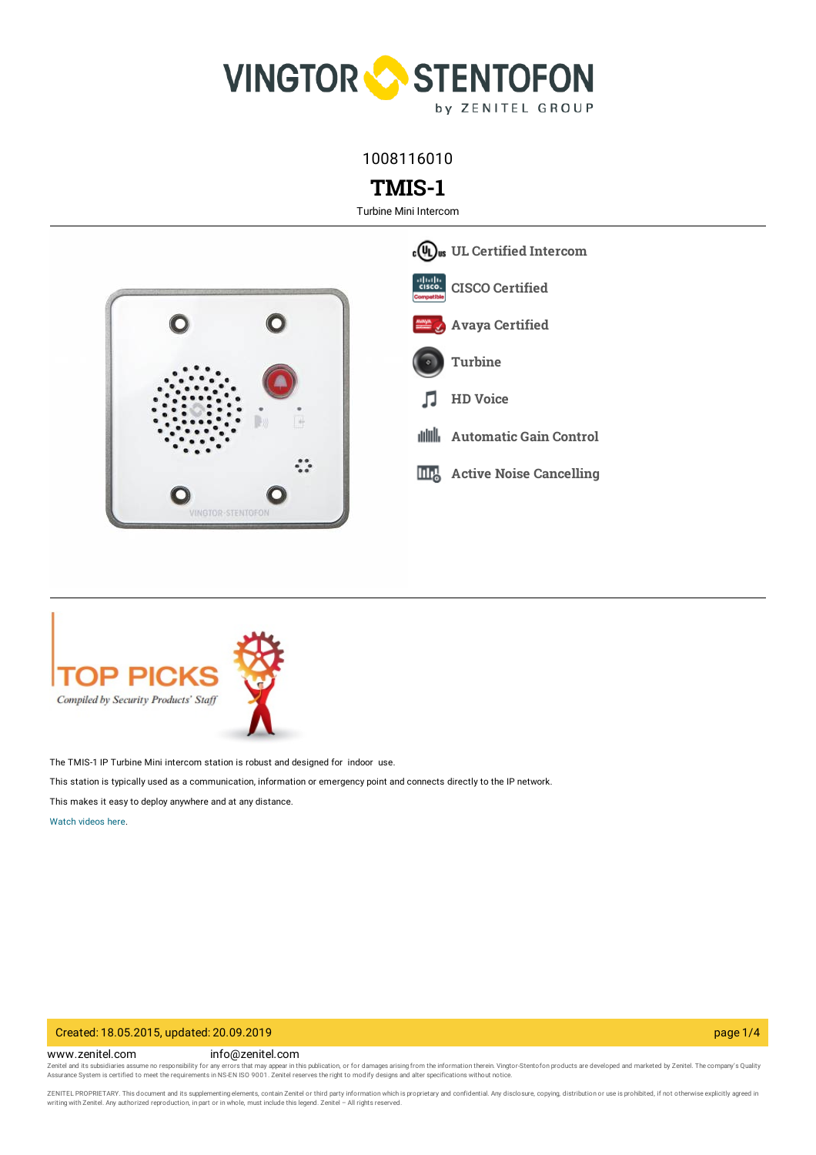

1008116010

# **TMIS-1**

Turbine Mini Intercom





The TMIS-1 IP Turbine Mini intercom station is robust and designed for indoor use.

This station is typically used as a communication, information or emergency point and connects directly to the IP network.

This makes it easy to deploy anywhere and at any distance.

[Watch](https://www.zenitel.com/content/vingtor-stentofon-turbine-ip-mini-intercom) videos here.

# Created: 18.05.2015, updated: 20.09.2019 page 1/4

www.zenitel.com info@zenitel.com

Zenitel and its subsidiaries assume no responsibility for any errors that may appear in this publication, or for damages arising from the information therein. Vingtor-Stentofon products are developed and marketed by Zenite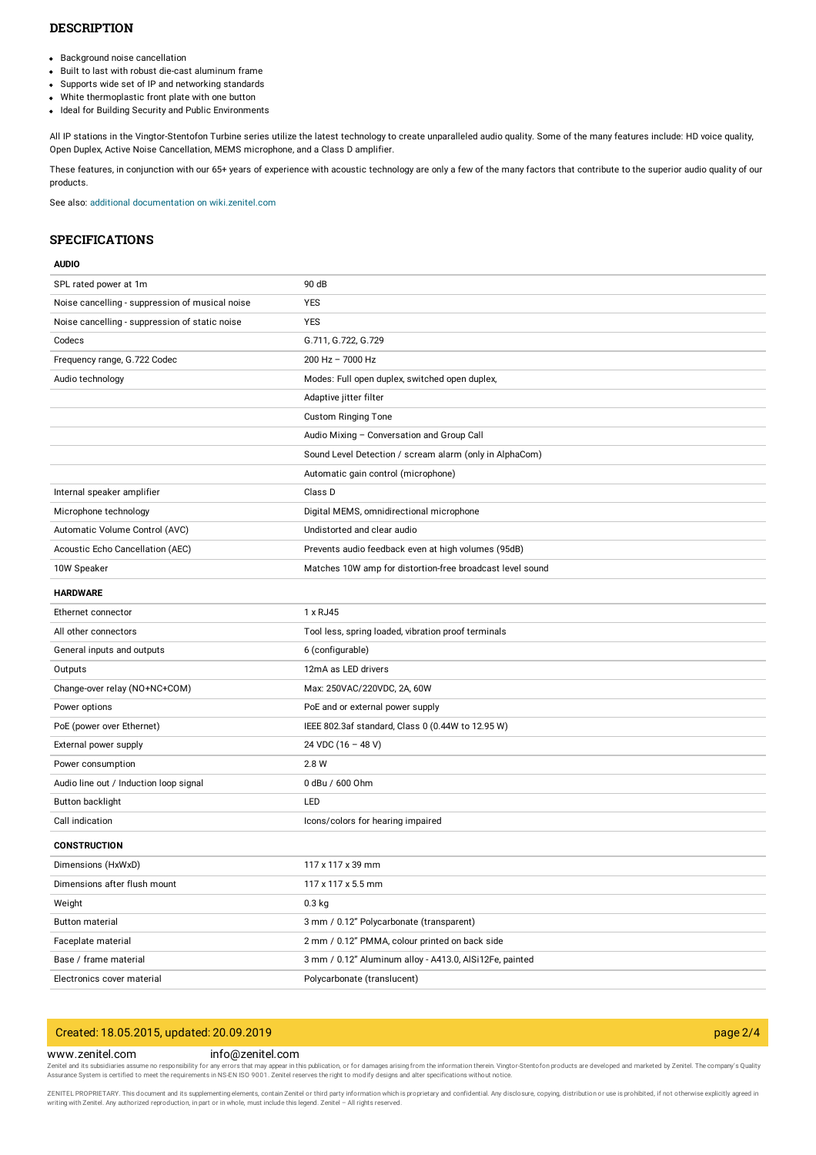# **DESCRIPTION**

- Background noise cancellation
- Built to last with robust die-cast aluminum frame
- Supports wide set of IP and networking standards
- White thermoplastic front plate with one button
- Ideal for Building Security and Public Environments

All IP stations in the Vingtor-Stentofon Turbine series utilize the latest technology to create unparalleled audio quality. Some of the many features include: HD voice quality, Open Duplex, Active Noise Cancellation, MEMS microphone, and a Class D amplifier.

These features, in conjunction with our 65+ years of experience with acoustic technology are only a few of the many factors that contribute to the superior audio quality of our products.

See also: additional documentation on [wiki.zenitel.com](https://wiki.zenitel.com/wiki/TMIS-1)

# **SPECIFICATIONS**

### **AUDIO**

| SPL rated power at 1m                           | 90 dB                                                     |
|-------------------------------------------------|-----------------------------------------------------------|
| Noise cancelling - suppression of musical noise | <b>YES</b>                                                |
| Noise cancelling - suppression of static noise  | <b>YES</b>                                                |
| Codecs                                          | G.711, G.722, G.729                                       |
| Frequency range, G.722 Codec                    | 200 Hz - 7000 Hz                                          |
| Audio technology                                | Modes: Full open duplex, switched open duplex,            |
|                                                 | Adaptive jitter filter                                    |
|                                                 | Custom Ringing Tone                                       |
|                                                 | Audio Mixing - Conversation and Group Call                |
|                                                 | Sound Level Detection / scream alarm (only in AlphaCom)   |
|                                                 | Automatic gain control (microphone)                       |
| Internal speaker amplifier                      | Class D                                                   |
| Microphone technology                           | Digital MEMS, omnidirectional microphone                  |
| Automatic Volume Control (AVC)                  | Undistorted and clear audio                               |
| Acoustic Echo Cancellation (AEC)                | Prevents audio feedback even at high volumes (95dB)       |
| 10W Speaker                                     | Matches 10W amp for distortion-free broadcast level sound |
| <b>HARDWARE</b>                                 |                                                           |
| Ethernet connector                              | 1 x RJ45                                                  |
| All other connectors                            | Tool less, spring loaded, vibration proof terminals       |
| General inputs and outputs                      | 6 (configurable)                                          |
| Outputs                                         | 12mA as LED drivers                                       |
| Change-over relay (NO+NC+COM)                   | Max: 250VAC/220VDC, 2A, 60W                               |
| Power options                                   | PoE and or external power supply                          |
| PoE (power over Ethernet)                       | IEEE 802.3af standard, Class 0 (0.44W to 12.95 W)         |
| External power supply                           | 24 VDC (16 - 48 V)                                        |
| Power consumption                               | 2.8 W                                                     |
| Audio line out / Induction loop signal          | 0 dBu / 600 Ohm                                           |
| Button backlight                                | LED                                                       |
| Call indication                                 | Icons/colors for hearing impaired                         |
| <b>CONSTRUCTION</b>                             |                                                           |
| Dimensions (HxWxD)                              | 117 x 117 x 39 mm                                         |
| Dimensions after flush mount                    | 117 x 117 x 5.5 mm                                        |
| Weight                                          | $0.3$ kg                                                  |
| <b>Button material</b>                          | 3 mm / 0.12" Polycarbonate (transparent)                  |
| Faceplate material                              | 2 mm / 0.12" PMMA, colour printed on back side            |
| Base / frame material                           | 3 mm / 0.12" Aluminum alloy - A413.0, AlSi12Fe, painted   |
| Electronics cover material                      | Polycarbonate (translucent)                               |

# Created: 18.05.2015, updated: 20.09.2019 page 2/4

#### www.zenitel.com info@zenitel.com

Zenitel and its subsidiaries assume no responsibility for any errors that may appear in this publication, or for damages arising from the information therein. Vingtor-Stentofon products are developed and marketed by Zenite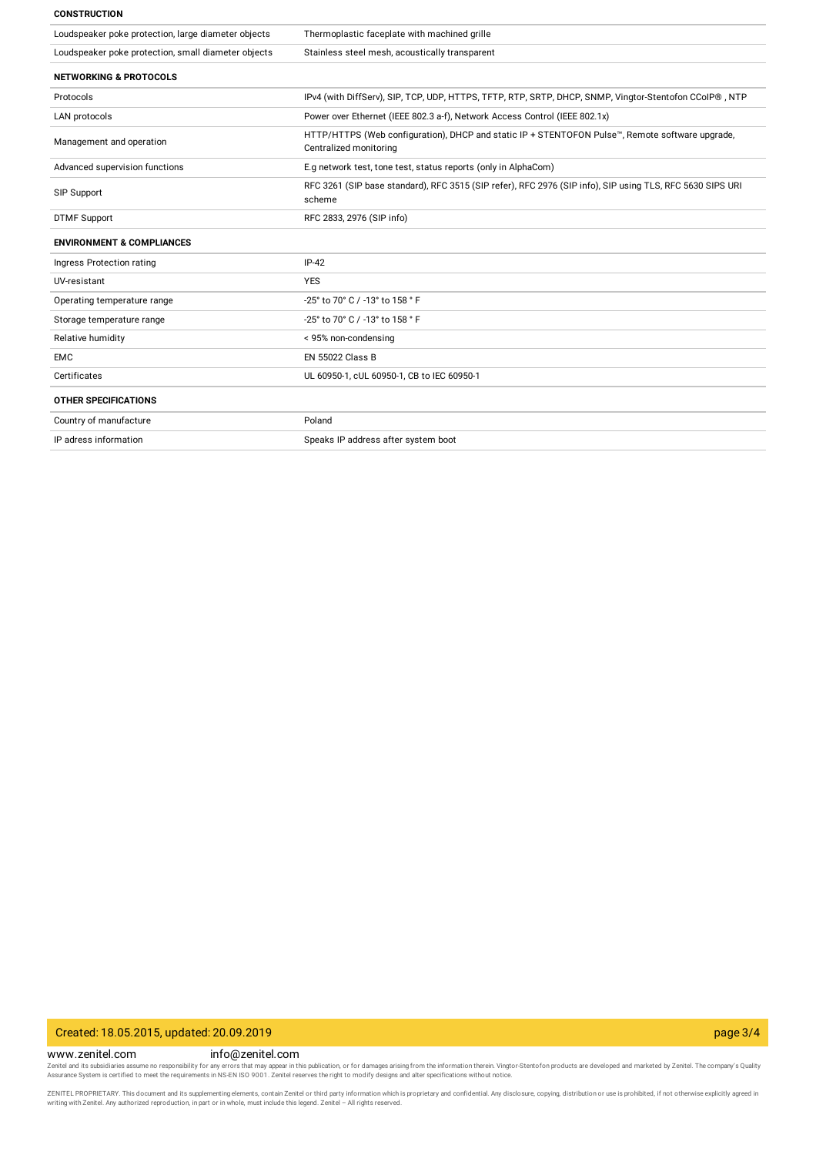#### **CONSTRUCTION**

| Loudspeaker poke protection, large diameter objects | Thermoplastic faceplate with machined grille                                                                              |
|-----------------------------------------------------|---------------------------------------------------------------------------------------------------------------------------|
| Loudspeaker poke protection, small diameter objects | Stainless steel mesh, acoustically transparent                                                                            |
| <b>NETWORKING &amp; PROTOCOLS</b>                   |                                                                                                                           |
| Protocols                                           | IPv4 (with DiffServ), SIP, TCP, UDP, HTTPS, TFTP, RTP, SRTP, DHCP, SNMP, Vingtor-Stentofon CCoIP®, NTP                    |
| LAN protocols                                       | Power over Ethernet (IEEE 802.3 a-f), Network Access Control (IEEE 802.1x)                                                |
| Management and operation                            | HTTP/HTTPS (Web configuration), DHCP and static IP + STENTOFON Pulse™, Remote software upgrade,<br>Centralized monitoring |
| Advanced supervision functions                      | E.g network test, tone test, status reports (only in AlphaCom)                                                            |
| SIP Support                                         | RFC 3261 (SIP base standard), RFC 3515 (SIP refer), RFC 2976 (SIP info), SIP using TLS, RFC 5630 SIPS URI<br>scheme       |
| <b>DTMF Support</b>                                 | RFC 2833, 2976 (SIP info)                                                                                                 |
| <b>ENVIRONMENT &amp; COMPLIANCES</b>                |                                                                                                                           |
| Ingress Protection rating                           | $IP-42$                                                                                                                   |
| UV-resistant                                        | <b>YES</b>                                                                                                                |
| Operating temperature range                         | -25° to 70° C / -13° to 158 ° F                                                                                           |
| Storage temperature range                           | -25° to 70° C / -13° to 158 ° F                                                                                           |
| Relative humidity                                   | < 95% non-condensing                                                                                                      |
| <b>EMC</b>                                          | <b>EN 55022 Class B</b>                                                                                                   |
| Certificates                                        | UL 60950-1, cUL 60950-1, CB to IEC 60950-1                                                                                |
| <b>OTHER SPECIFICATIONS</b>                         |                                                                                                                           |
| Country of manufacture                              | Poland                                                                                                                    |
| IP adress information                               | Speaks IP address after system boot                                                                                       |
|                                                     |                                                                                                                           |

# Created: 18.05.2015, updated: 20.09.2019 page 3/4

www.zenitel.com info@zenitel.com Zenitel and its subsidiaries assume no responsibility for any errors that may appear in this publication, or for damages arising from the information therein. Vingtor-Stentofon products are developed and marketed by Zenite